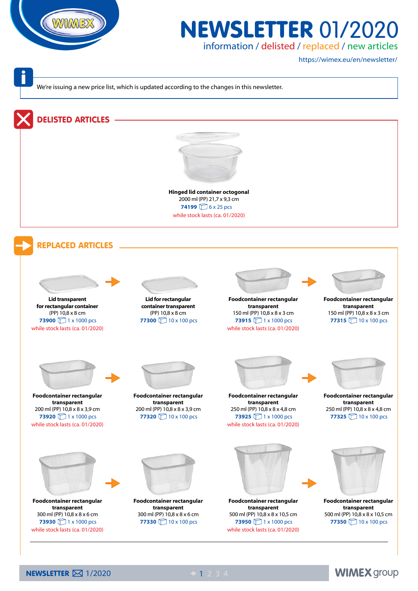

## **NEWSLETTER 01/2020**

information / delisted / replaced / new articles

https://wimex.eu/en/newsletter/

We're issuing a new price list, which is updated according to the changes in this newsletter.

## DELISTED ARTICLES



2000 ml (PP) 21,7 x 9,3 cm **Hinged lid container octogonal 74199** 6 x 25 pcs while stock lasts (ca. 01/2020)

## REPLACED ARTICLES





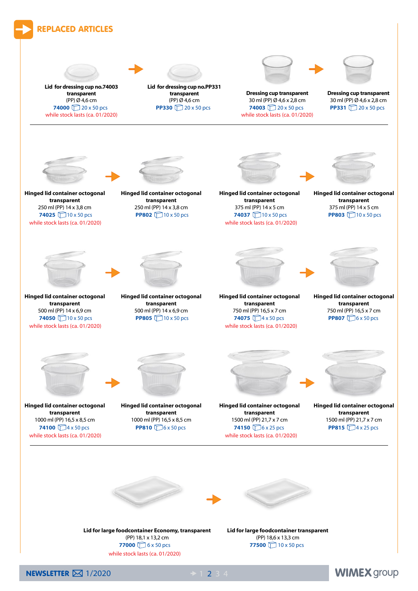

NEWSLETTER  $\boxtimes$  1/2020  $\rightarrow$  1 2 3 4

**WIMEX group**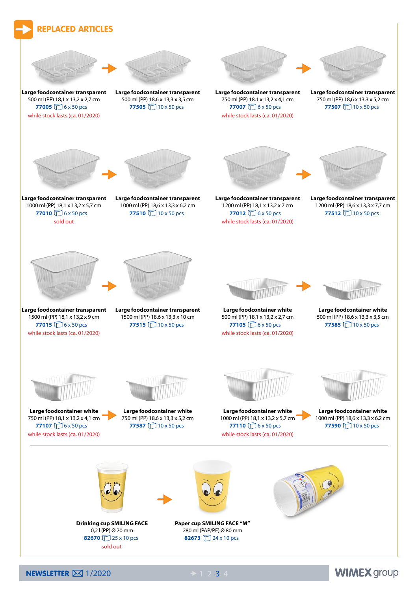

NEWSLETTER  $\boxtimes$  1/2020  $\rightarrow$  1 2 3 4

**WIMEX group**